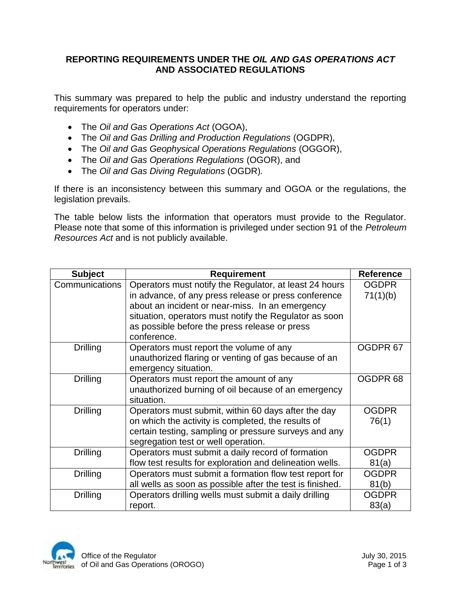## **REPORTING REQUIREMENTS UNDER THE** *OIL AND GAS OPERATIONS ACT* **AND ASSOCIATED REGULATIONS**

This summary was prepared to help the public and industry understand the reporting requirements for operators under:

- The *Oil and Gas Operations Act* (OGOA),
- The *Oil and Gas Drilling and Production Regulations* (OGDPR),
- The *Oil and Gas Geophysical Operations Regulations* (OGGOR),
- The *Oil and Gas Operations Regulations* (OGOR), and
- The *Oil and Gas Diving Regulations* (OGDR)*.*

If there is an inconsistency between this summary and OGOA or the regulations, the legislation prevails.

The table below lists the information that operators must provide to the Regulator. Please note that some of this information is privileged under section 91 of the *Petroleum Resources Act* and is not publicly available.

| <b>Subject</b>  | <b>Requirement</b>                                        | <b>Reference</b>    |
|-----------------|-----------------------------------------------------------|---------------------|
| Communications  | Operators must notify the Regulator, at least 24 hours    | <b>OGDPR</b>        |
|                 | in advance, of any press release or press conference      | 71(1)(b)            |
|                 | about an incident or near-miss. In an emergency           |                     |
|                 | situation, operators must notify the Regulator as soon    |                     |
|                 | as possible before the press release or press             |                     |
|                 | conference.                                               |                     |
| <b>Drilling</b> | Operators must report the volume of any                   | OGDPR 67            |
|                 | unauthorized flaring or venting of gas because of an      |                     |
|                 | emergency situation.                                      |                     |
| Drilling        | Operators must report the amount of any                   | OGDPR <sub>68</sub> |
|                 | unauthorized burning of oil because of an emergency       |                     |
|                 | situation.                                                |                     |
| <b>Drilling</b> | Operators must submit, within 60 days after the day       | <b>OGDPR</b>        |
|                 | on which the activity is completed, the results of        | 76(1)               |
|                 | certain testing, sampling or pressure surveys and any     |                     |
|                 | segregation test or well operation.                       |                     |
| <b>Drilling</b> | Operators must submit a daily record of formation         | <b>OGDPR</b>        |
|                 | flow test results for exploration and delineation wells.  | 81(a)               |
| Drilling        | Operators must submit a formation flow test report for    | <b>OGDPR</b>        |
|                 | all wells as soon as possible after the test is finished. | 81(b)               |
| Drilling        | Operators drilling wells must submit a daily drilling     | <b>OGDPR</b>        |
|                 | report.                                                   | 83(a)               |

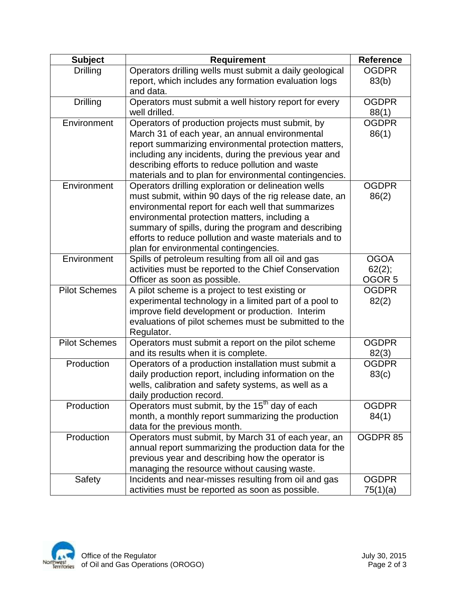| <b>Subject</b>       | <b>Requirement</b>                                                                                             | <b>Reference</b>  |
|----------------------|----------------------------------------------------------------------------------------------------------------|-------------------|
| <b>Drilling</b>      | Operators drilling wells must submit a daily geological                                                        | <b>OGDPR</b>      |
|                      | report, which includes any formation evaluation logs                                                           | 83(b)             |
|                      | and data.                                                                                                      |                   |
| <b>Drilling</b>      | Operators must submit a well history report for every                                                          | <b>OGDPR</b>      |
|                      | well drilled.                                                                                                  | 88(1)             |
| Environment          | Operators of production projects must submit, by                                                               | <b>OGDPR</b>      |
|                      | March 31 of each year, an annual environmental                                                                 | 86(1)             |
|                      | report summarizing environmental protection matters,                                                           |                   |
|                      | including any incidents, during the previous year and                                                          |                   |
|                      | describing efforts to reduce pollution and waste                                                               |                   |
|                      | materials and to plan for environmental contingencies.                                                         |                   |
| Environment          | Operators drilling exploration or delineation wells                                                            | <b>OGDPR</b>      |
|                      | must submit, within 90 days of the rig release date, an                                                        | 86(2)             |
|                      | environmental report for each well that summarizes                                                             |                   |
|                      | environmental protection matters, including a                                                                  |                   |
|                      | summary of spills, during the program and describing<br>efforts to reduce pollution and waste materials and to |                   |
|                      | plan for environmental contingencies.                                                                          |                   |
| Environment          | Spills of petroleum resulting from all oil and gas                                                             | <b>OGOA</b>       |
|                      | activities must be reported to the Chief Conservation                                                          | 62(2);            |
|                      | Officer as soon as possible.                                                                                   | OGOR <sub>5</sub> |
| <b>Pilot Schemes</b> | A pilot scheme is a project to test existing or                                                                | <b>OGDPR</b>      |
|                      | experimental technology in a limited part of a pool to                                                         | 82(2)             |
|                      | improve field development or production. Interim                                                               |                   |
|                      | evaluations of pilot schemes must be submitted to the                                                          |                   |
|                      | Regulator.                                                                                                     |                   |
| <b>Pilot Schemes</b> | Operators must submit a report on the pilot scheme                                                             | <b>OGDPR</b>      |
|                      | and its results when it is complete.                                                                           | 82(3)             |
| Production           | Operators of a production installation must submit a                                                           | <b>OGDPR</b>      |
|                      | daily production report, including information on the                                                          | 83(c)             |
|                      | wells, calibration and safety systems, as well as a                                                            |                   |
|                      | daily production record.                                                                                       |                   |
| Production           | Operators must submit, by the 15 <sup>th</sup> day of each                                                     | <b>OGDPR</b>      |
|                      | month, a monthly report summarizing the production                                                             | 84(1)             |
|                      | data for the previous month.                                                                                   |                   |
| Production           | Operators must submit, by March 31 of each year, an                                                            | OGDPR 85          |
|                      | annual report summarizing the production data for the                                                          |                   |
|                      | previous year and describing how the operator is<br>managing the resource without causing waste.               |                   |
| Safety               | Incidents and near-misses resulting from oil and gas                                                           | <b>OGDPR</b>      |
|                      | activities must be reported as soon as possible.                                                               | 75(1)(a)          |